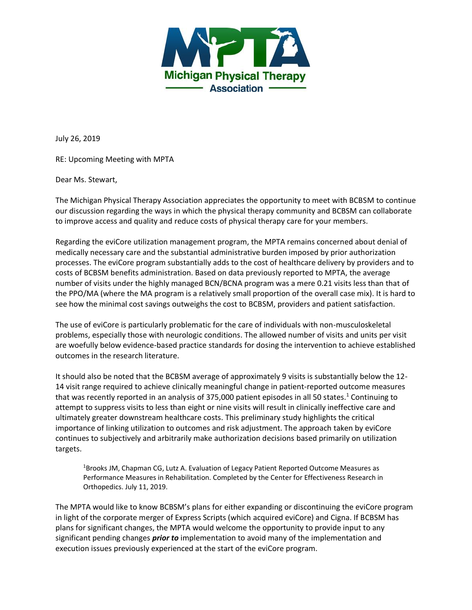

July 26, 2019

RE: Upcoming Meeting with MPTA

Dear Ms. Stewart,

The Michigan Physical Therapy Association appreciates the opportunity to meet with BCBSM to continue our discussion regarding the ways in which the physical therapy community and BCBSM can collaborate to improve access and quality and reduce costs of physical therapy care for your members.

Regarding the eviCore utilization management program, the MPTA remains concerned about denial of medically necessary care and the substantial administrative burden imposed by prior authorization processes. The eviCore program substantially adds to the cost of healthcare delivery by providers and to costs of BCBSM benefits administration. Based on data previously reported to MPTA, the average number of visits under the highly managed BCN/BCNA program was a mere 0.21 visits less than that of the PPO/MA (where the MA program is a relatively small proportion of the overall case mix). It is hard to see how the minimal cost savings outweighs the cost to BCBSM, providers and patient satisfaction.

The use of eviCore is particularly problematic for the care of individuals with non-musculoskeletal problems, especially those with neurologic conditions. The allowed number of visits and units per visit are woefully below evidence-based practice standards for dosing the intervention to achieve established outcomes in the research literature.

It should also be noted that the BCBSM average of approximately 9 visits is substantially below the 12- 14 visit range required to achieve clinically meaningful change in patient-reported outcome measures that was recently reported in an analysis of 375,000 patient episodes in all 50 states.<sup>1</sup> Continuing to attempt to suppress visits to less than eight or nine visits will result in clinically ineffective care and ultimately greater downstream healthcare costs. This preliminary study highlights the critical importance of linking utilization to outcomes and risk adjustment. The approach taken by eviCore continues to subjectively and arbitrarily make authorization decisions based primarily on utilization targets.

<sup>1</sup>Brooks JM, Chapman CG, Lutz A. Evaluation of Legacy Patient Reported Outcome Measures as Performance Measures in Rehabilitation. Completed by the Center for Effectiveness Research in Orthopedics. July 11, 2019.

The MPTA would like to know BCBSM's plans for either expanding or discontinuing the eviCore program in light of the corporate merger of Express Scripts (which acquired eviCore) and Cigna. If BCBSM has plans for significant changes, the MPTA would welcome the opportunity to provide input to any significant pending changes *prior to* implementation to avoid many of the implementation and execution issues previously experienced at the start of the eviCore program.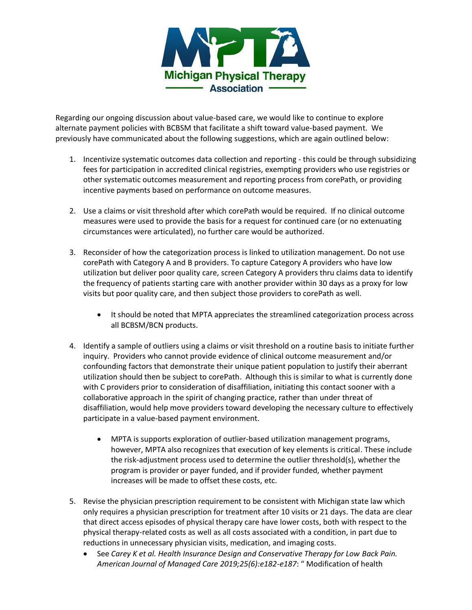

Regarding our ongoing discussion about value-based care, we would like to continue to explore alternate payment policies with BCBSM that facilitate a shift toward value-based payment. We previously have communicated about the following suggestions, which are again outlined below:

- 1. Incentivize systematic outcomes data collection and reporting this could be through subsidizing fees for participation in accredited clinical registries, exempting providers who use registries or other systematic outcomes measurement and reporting process from corePath, or providing incentive payments based on performance on outcome measures.
- 2. Use a claims or visit threshold after which corePath would be required. If no clinical outcome measures were used to provide the basis for a request for continued care (or no extenuating circumstances were articulated), no further care would be authorized.
- 3. Reconsider of how the categorization process is linked to utilization management. Do not use corePath with Category A and B providers. To capture Category A providers who have low utilization but deliver poor quality care, screen Category A providers thru claims data to identify the frequency of patients starting care with another provider within 30 days as a proxy for low visits but poor quality care, and then subject those providers to corePath as well.
	- It should be noted that MPTA appreciates the streamlined categorization process across all BCBSM/BCN products.
- 4. Identify a sample of outliers using a claims or visit threshold on a routine basis to initiate further inquiry. Providers who cannot provide evidence of clinical outcome measurement and/or confounding factors that demonstrate their unique patient population to justify their aberrant utilization should then be subject to corePath. Although this is similar to what is currently done with C providers prior to consideration of disaffiliation, initiating this contact sooner with a collaborative approach in the spirit of changing practice, rather than under threat of disaffiliation, would help move providers toward developing the necessary culture to effectively participate in a value-based payment environment.
	- MPTA is supports exploration of outlier-based utilization management programs, however, MPTA also recognizes that execution of key elements is critical. These include the risk-adjustment process used to determine the outlier threshold(s), whether the program is provider or payer funded, and if provider funded, whether payment increases will be made to offset these costs, etc.
- 5. Revise the physician prescription requirement to be consistent with Michigan state law which only requires a physician prescription for treatment after 10 visits or 21 days. The data are clear that direct access episodes of physical therapy care have lower costs, both with respect to the physical therapy-related costs as well as all costs associated with a condition, in part due to reductions in unnecessary physician visits, medication, and imaging costs.
	- See *Carey K et al. Health Insurance Design and Conservative Therapy for Low Back Pain. American Journal of Managed Care 2019;25(6):e182-e187*: " Modification of health